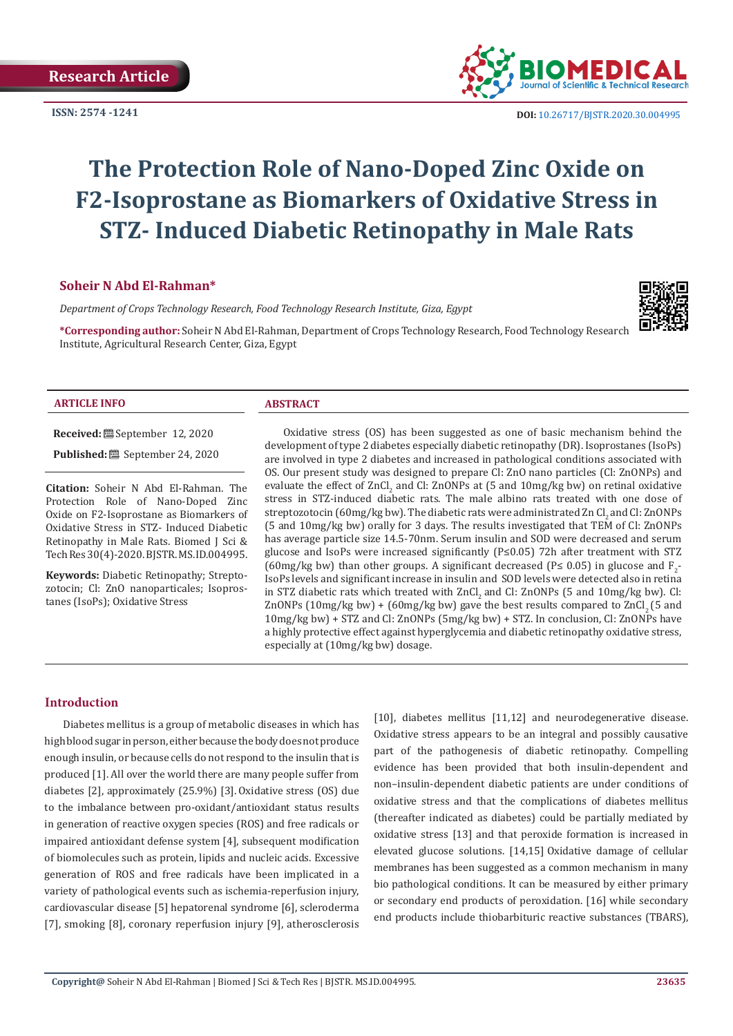**ISSN: 2574 -1241**



# **The Protection Role of Nano-Doped Zinc Oxide on F2-Isoprostane as Biomarkers of Oxidative Stress in STZ- Induced Diabetic Retinopathy in Male Rats**

# **Soheir N Abd El-Rahman\***

*Department of Crops Technology Research, Food Technology Research Institute, Giza, Egypt*

**\*Corresponding author:** Soheir N Abd El-Rahman, Department of Crops Technology Research, Food Technology Research Institute, Agricultural Research Center, Giza, Egypt



#### **ARTICLE INFO ABSTRACT**

**Received:** September 12, 2020

**Published:** ■ September 24, 2020

**Citation:** Soheir N Abd El-Rahman. The Protection Role of Nano-Doped Zinc Oxide on F2-Isoprostane as Biomarkers of Oxidative Stress in STZ- Induced Diabetic Retinopathy in Male Rats. Biomed J Sci & Tech Res 30(4)-2020. BJSTR. MS.ID.004995.

**Keywords:** Diabetic Retinopathy; Streptozotocin; Cl: ZnO nanoparticales; Isoprostanes (IsoPs); Oxidative Stress

Oxidative stress (OS) has been suggested as one of basic mechanism behind the development of type 2 diabetes especially diabetic retinopathy (DR). Isoprostanes (IsoPs) are involved in type 2 diabetes and increased in pathological conditions associated with OS. Our present study was designed to prepare Cl: ZnO nano particles (Cl: ZnONPs) and evaluate the effect of  $ZnCl_2$  and Cl:  $ZnONPs$  at (5 and 10mg/kg bw) on retinal oxidative stress in STZ-induced diabetic rats. The male albino rats treated with one dose of streptozotocin (60mg/kg bw). The diabetic rats were administrated Zn Cl<sub>2</sub> and Cl: ZnONPs (5 and 10mg/kg bw) orally for 3 days. The results investigated that TEM of Cl: ZnONPs has average particle size 14.5-70nm. Serum insulin and SOD were decreased and serum glucose and IsoPs were increased significantly (P≤0.05) 72h after treatment with STZ (60mg/kg bw) than other groups. A significant decreased (P≤ 0.05) in glucose and  $F_2$ IsoPs levels and significant increase in insulin and SOD levels were detected also in retina in STZ diabetic rats which treated with ZnCl<sub>2</sub> and Cl: ZnONPs (5 and 10mg/kg bw). Cl: ZnONPs (10mg/kg bw) + (60mg/kg bw) gave the best results compared to  $ZnCl<sub>2</sub>$  (5 and 10mg/kg bw) + STZ and Cl: ZnONPs (5mg/kg bw) + STZ. In conclusion, Cl: ZnONPs have a highly protective effect against hyperglycemia and diabetic retinopathy oxidative stress, especially at (10mg/kg bw) dosage.

# **Introduction**

Diabetes mellitus is a group of metabolic diseases in which has high blood sugar in person, either because the body does not produce enough insulin, or because cells do not respond to the insulin that is produced [1]. All over the world there are many people suffer from diabetes [2], approximately (25.9%) [3]. Oxidative stress (OS) due to the imbalance between pro-oxidant/antioxidant status results in generation of reactive oxygen species (ROS) and free radicals or impaired antioxidant defense system [4], subsequent modification of biomolecules such as protein, lipids and nucleic acids. Excessive generation of ROS and free radicals have been implicated in a variety of pathological events such as ischemia-reperfusion injury, cardiovascular disease [5] hepatorenal syndrome [6], scleroderma [7], smoking [8], coronary reperfusion injury [9], atherosclerosis [10], diabetes mellitus [11,12] and neurodegenerative disease. Oxidative stress appears to be an integral and possibly causative part of the pathogenesis of diabetic retinopathy. Compelling evidence has been provided that both insulin-dependent and non–insulin-dependent diabetic patients are under conditions of oxidative stress and that the complications of diabetes mellitus (thereafter indicated as diabetes) could be partially mediated by oxidative stress [13] and that peroxide formation is increased in elevated glucose solutions. [14,15] Oxidative damage of cellular membranes has been suggested as a common mechanism in many bio pathological conditions. It can be measured by either primary or secondary end products of peroxidation. [16] while secondary end products include thiobarbituric reactive substances (TBARS),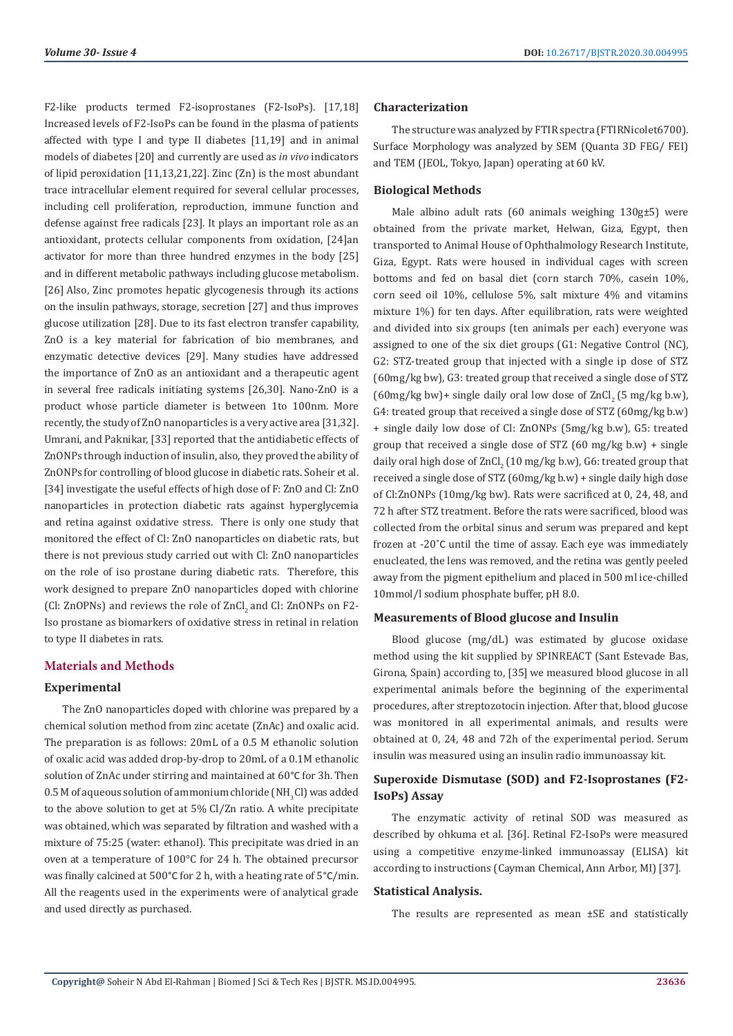F2-like products termed F2-isoprostanes (F2-IsoPs). [17,18] Increased levels of F2-IsoPs can be found in the plasma of patients affected with type I and type II diabetes [11,19] and in animal models of diabetes [20] and currently are used as *in vivo* indicators of lipid peroxidation [11,13,21,22]. Zinc (Zn) is the most abundant trace intracellular element required for several cellular processes, including cell proliferation, reproduction, immune function and defense against free radicals [23]. It plays an important role as an antioxidant, protects cellular components from oxidation, [24]an activator for more than three hundred enzymes in the body [25] and in different metabolic pathways including glucose metabolism. [26] Also, Zinc promotes hepatic glycogenesis through its actions on the insulin pathways, storage, secretion [27] and thus improves glucose utilization [28]. Due to its fast electron transfer capability, ZnO is a key material for fabrication of bio membranes, and enzymatic detective devices [29]. Many studies have addressed the importance of ZnO as an antioxidant and a therapeutic agent in several free radicals initiating systems [26,30]. Nano-ZnO is a product whose particle diameter is between 1to 100nm. More recently, the study of ZnO nanoparticles is a very active area [31,32]. Umrani, and Paknikar, [33] reported that the antidiabetic effects of ZnONPs through induction of insulin, also, they proved the ability of ZnONPs for controlling of blood glucose in diabetic rats. Soheir et al. [34] investigate the useful effects of high dose of F: ZnO and Cl: ZnO nanoparticles in protection diabetic rats against hyperglycemia and retina against oxidative stress. There is only one study that monitored the effect of Cl: ZnO nanoparticles on diabetic rats, but there is not previous study carried out with Cl: ZnO nanoparticles on the role of iso prostane during diabetic rats. Therefore, this work designed to prepare ZnO nanoparticles doped with chlorine (Cl: ZnOPNs) and reviews the role of ZnCl<sub>2</sub> and Cl: ZnONPs on F2-Iso prostane as biomarkers of oxidative stress in retinal in relation to type II diabetes in rats.

# **Materials and Methods**

## **Experimental**

The ZnO nanoparticles doped with chlorine was prepared by a chemical solution method from zinc acetate (ZnAc) and oxalic acid. The preparation is as follows: 20mL of a 0.5 M ethanolic solution of oxalic acid was added drop-by-drop to 20mL of a 0.1M ethanolic solution of ZnAc under stirring and maintained at 60°C for 3h. Then  $0.5$  M of aqueous solution of ammonium chloride (NH $_{\rm 3}$ Cl) was added to the above solution to get at 5% Cl/Zn ratio. A white precipitate was obtained, which was separated by filtration and washed with a mixture of 75:25 (water: ethanol). This precipitate was dried in an oven at a temperature of 100°C for 24 h. The obtained precursor was finally calcined at 500°C for 2 h, with a heating rate of 5°C/min. All the reagents used in the experiments were of analytical grade and used directly as purchased.

### **Characterization**

The structure was analyzed by FTIR spectra (FTIRNicolet6700). Surface Morphology was analyzed by SEM (Quanta 3D FEG/ FEI) and TEM (JEOL, Tokyo, Japan) operating at 60 kV.

## **Biological Methods**

Male albino adult rats (60 animals weighing 130g±5) were obtained from the private market, Helwan, Giza, Egypt, then transported to Animal House of Ophthalmology Research Institute, Giza, Egypt. Rats were housed in individual cages with screen bottoms and fed on basal diet (corn starch 70%, casein 10%, corn seed oil 10%, cellulose 5%, salt mixture 4% and vitamins mixture 1%) for ten days. After equilibration, rats were weighted and divided into six groups (ten animals per each) everyone was assigned to one of the six diet groups (G1: Negative Control (NC), G2: STZ-treated group that injected with a single ip dose of STZ (60mg/kg bw), G3: treated group that received a single dose of STZ  $(60mg/kg$  bw)+ single daily oral low dose of ZnCl<sub>2</sub> (5 mg/kg b.w), G4: treated group that received a single dose of STZ (60mg/kg b.w) + single daily low dose of Cl: ZnONPs (5mg/kg b.w), G5: treated group that received a single dose of STZ (60 mg/kg b.w) + single daily oral high dose of  $ZnCl<sub>2</sub> (10 mg/kg b.w)$ , G6: treated group that received a single dose of STZ (60mg/kg b.w) + single daily high dose of Cl:ZnONPs (10mg/kg bw). Rats were sacrificed at 0, 24, 48, and 72 h after STZ treatment. Before the rats were sacrificed, blood was collected from the orbital sinus and serum was prepared and kept frozen at -20˚C until the time of assay. Each eye was immediately enucleated, the lens was removed, and the retina was gently peeled away from the pigment epithelium and placed in 500 ml ice-chilled 10mmol/l sodium phosphate buffer, pH 8.0.

## **Measurements of Blood glucose and Insulin**

Blood glucose (mg/dL) was estimated by glucose oxidase method using the kit supplied by SPINREACT (Sant Estevade Bas, Girona, Spain) according to, [35] we measured blood glucose in all experimental animals before the beginning of the experimental procedures, after streptozotocin injection. After that, blood glucose was monitored in all experimental animals, and results were obtained at 0, 24, 48 and 72h of the experimental period. Serum insulin was measured using an insulin radio immunoassay kit.

# **Superoxide Dismutase (SOD) and F2-Isoprostanes (F2- IsoPs) Assay**

The enzymatic activity of retinal SOD was measured as described by ohkuma et al. [36]. Retinal F2-IsoPs were measured using a competitive enzyme-linked immunoassay (ELISA) kit according to instructions (Cayman Chemical, Ann Arbor, MI) [37].

#### **Statistical Analysis.**

The results are represented as mean ±SE and statistically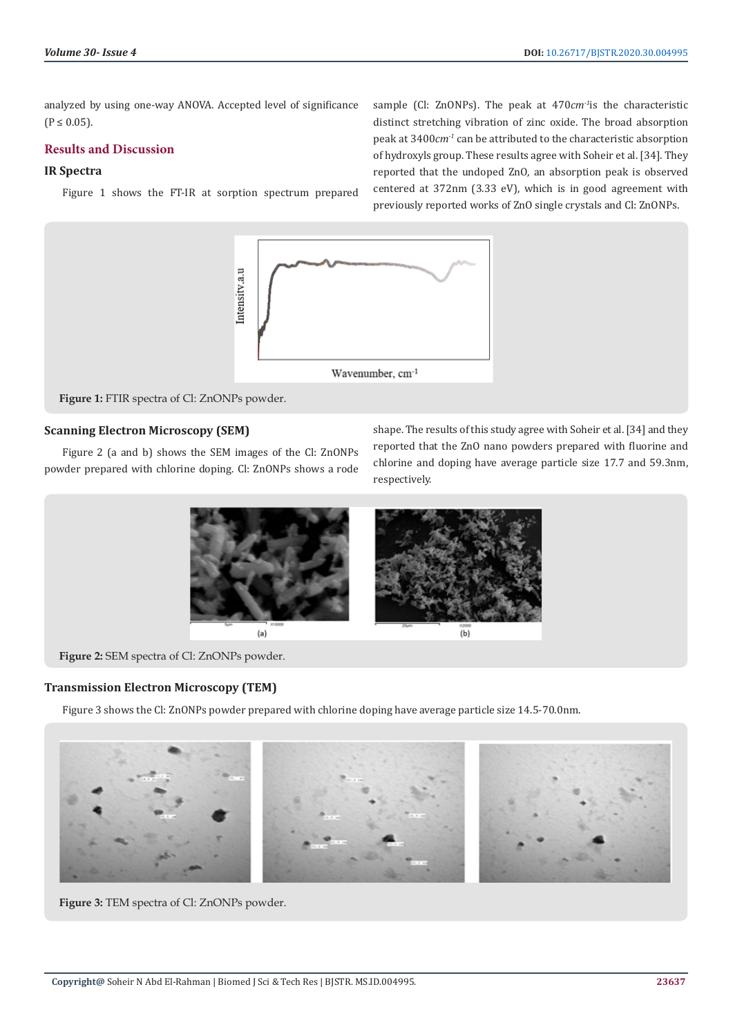analyzed by using one-way ANOVA. Accepted level of significance  $(P \le 0.05)$ .

# **Results and Discussion**

# **IR Spectra**

Figure 1 shows the FT-IR at sorption spectrum prepared

sample (Cl: ZnONPs). The peak at 470*cm-1*is the characteristic distinct stretching vibration of zinc oxide. The broad absorption peak at 3400*cm-1* can be attributed to the characteristic absorption of hydroxyls group. These results agree with Soheir et al. [34]. They reported that the undoped ZnO, an absorption peak is observed centered at 372nm (3.33 eV), which is in good agreement with previously reported works of ZnO single crystals and Cl: ZnONPs.



**Figure 1:** FTIR spectra of Cl: ZnONPs powder.

## **Scanning Electron Microscopy (SEM)**

Figure 2 (a and b) shows the SEM images of the Cl: ZnONPs powder prepared with chlorine doping. Cl: ZnONPs shows a rode shape. The results of this study agree with Soheir et al. [34] and they reported that the ZnO nano powders prepared with fluorine and chlorine and doping have average particle size 17.7 and 59.3nm, respectively.



**Figure 2:** SEM spectra of Cl: ZnONPs powder.

# **Transmission Electron Microscopy (TEM)**

Figure 3 shows the Cl: ZnONPs powder prepared with chlorine doping have average particle size 14.5-70.0nm.



**Figure 3:** TEM spectra of Cl: ZnONPs powder.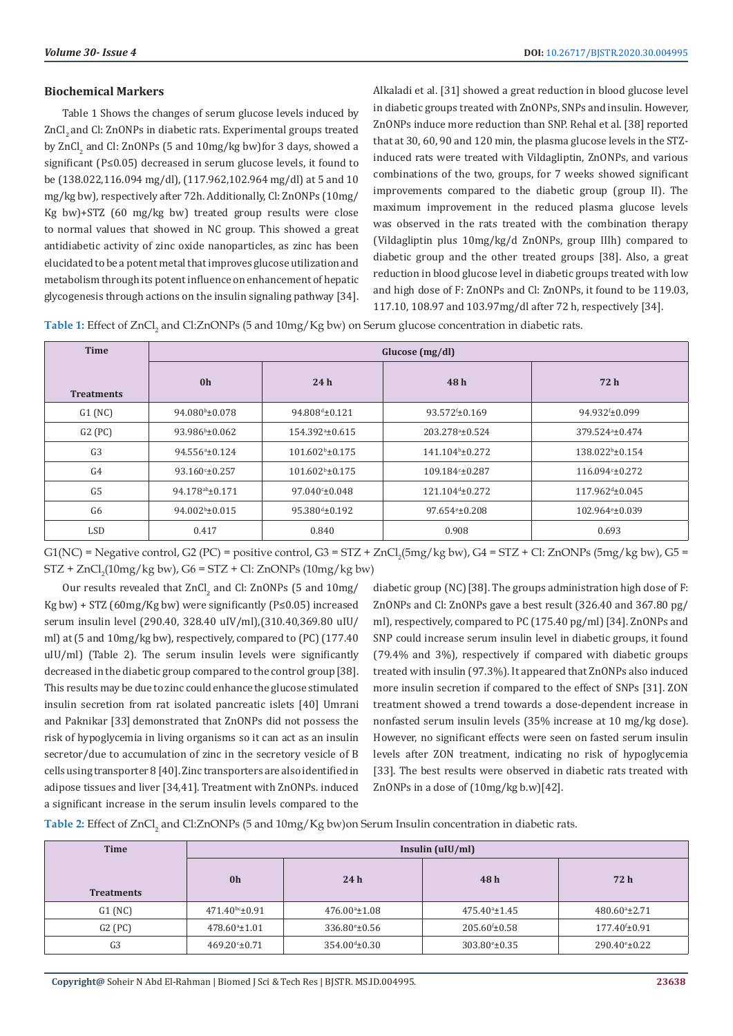## **Biochemical Markers**

Table 1 Shows the changes of serum glucose levels induced by ZnCl<sub>2</sub> and Cl: ZnONPs in diabetic rats. Experimental groups treated by  $ZnCl<sub>2</sub>$  and CI:  $ZnONPs$  (5 and  $10\text{mg/kg}$  bw)for 3 days, showed a significant (P≤0.05) decreased in serum glucose levels, it found to be (138.022,116.094 mg/dl), (117.962,102.964 mg/dl) at 5 and 10 mg/kg bw), respectively after 72h. Additionally, Cl: ZnONPs (10mg/ Kg bw)+STZ (60 mg/kg bw) treated group results were close to normal values that showed in NC group. This showed a great antidiabetic activity of zinc oxide nanoparticles, as zinc has been elucidated to be a potent metal that improves glucose utilization and metabolism through its potent influence on enhancement of hepatic glycogenesis through actions on the insulin signaling pathway [34].

Alkaladi et al. [31] showed a great reduction in blood glucose level in diabetic groups treated with ZnONPs, SNPs and insulin. However, ZnONPs induce more reduction than SNP. Rehal et al. [38] reported that at 30, 60, 90 and 120 min, the plasma glucose levels in the STZinduced rats were treated with Vildagliptin, ZnONPs, and various combinations of the two, groups, for 7 weeks showed significant improvements compared to the diabetic group (group II). The maximum improvement in the reduced plasma glucose levels was observed in the rats treated with the combination therapy (Vildagliptin plus 10mg/kg/d ZnONPs, group IIIh) compared to diabetic group and the other treated groups [38]. Also, a great reduction in blood glucose level in diabetic groups treated with low and high dose of F: ZnONPs and Cl: ZnONPs, it found to be 119.03, 117.10, 108.97 and 103.97mg/dl after 72 h, respectively [34].

**Table 1:** Effect of ZnCl<sub>2</sub> and Cl:ZnONPs (5 and 10mg/Kg bw) on Serum glucose concentration in diabetic rats.

| <b>Time</b>       | Glucose $(mg/dl)$           |                             |                             |                             |
|-------------------|-----------------------------|-----------------------------|-----------------------------|-----------------------------|
| <b>Treatments</b> | 0 <sub>h</sub>              | 24h                         | 48h                         | 72h                         |
| G1(NC)            | $94.080^{\rm b} \pm 0.078$  | 94.808 <sup>d</sup> ±0.121  | $93.572 \pm 0.169$          | 94.932f±0.099               |
| $G2$ (PC)         | $93.986^{\rm b} \pm 0.062$  | 154.392 <sup>a</sup> ±0.615 | 203.278 <sup>a</sup> ±0.524 | 379.524 <sup>a</sup> ±0.474 |
| G <sub>3</sub>    | 94.556 <sup>a</sup> ±0.124  | $101.602b + 0.175$          | 141.104 <sup>b</sup> ±0.272 | 138.022 <sup>b</sup> ±0.154 |
| G <sub>4</sub>    | $93.160 \pm 0.257$          | $101.602b + 0.175$          | 109.184 ± 0.287             | $116.094c \pm 0.272$        |
| G <sub>5</sub>    | 94.178 <sup>ab</sup> ±0.171 | $97.040 \pm 0.048$          | 121.104 <sup>d</sup> +0.272 | $117.962^{d} \pm 0.045$     |
| G <sub>6</sub>    | $94.002^{\rm b}$ ±0.015     | $95.380^{d} \pm 0.192$      | 97.654 <sup>e</sup> ±0.208  | 102.964 <sup>e</sup> ±0.039 |
| <b>LSD</b>        | 0.417                       | 0.840                       | 0.908                       | 0.693                       |

 $G1(NC)$  = Negative control, G2 (PC) = positive control, G3 = STZ + ZnCl<sub>2</sub>(5mg/kg bw), G4 = STZ + Cl: ZnONPs (5mg/kg bw), G5 = STZ + ZnCl<sub>2</sub>(10mg/kg bw), G6 = STZ + Cl: ZnONPs (10mg/kg bw)

Our results revealed that  $ZnCl<sub>2</sub>$  and  $Cl: ZnONPs$  (5 and  $10\text{mg}/$ Kg bw) + STZ (60mg/Kg bw) were significantly (P≤0.05) increased serum insulin level (290.40, 328.40 uIV/ml),(310.40,369.80 uIU/ ml) at (5 and 10mg/kg bw), respectively, compared to (PC) (177.40 uIU/ml) (Table 2). The serum insulin levels were significantly decreased in the diabetic group compared to the control group[38]. This results may be due to zinc could enhance the glucose stimulated insulin secretion from rat isolated pancreatic islets [40] Umrani and Paknikar [33] demonstrated that ZnONPs did not possess the risk of hypoglycemia in living organisms so it can act as an insulin secretor/due to accumulation of zinc in the secretory vesicle of B cells using transporter 8 [40]. Zinc transporters are also identified in adipose tissues and liver [34,41]. Treatment with ZnONPs. induced a significant increase in the serum insulin levels compared to the

diabetic group (NC)[38]. The groups administration high dose of F: ZnONPs and Cl: ZnONPs gave a best result (326.40 and 367.80 pg/ ml), respectively, compared to PC (175.40 pg/ml) [34]. ZnONPs and SNP could increase serum insulin level in diabetic groups, it found (79.4% and 3%), respectively if compared with diabetic groups treated with insulin (97.3%). It appeared that ZnONPs also induced more insulin secretion if compared to the effect of SNPs [31]. ZON treatment showed a trend towards a dose-dependent increase in nonfasted serum insulin levels (35% increase at 10 mg/kg dose). However, no significant effects were seen on fasted serum insulin levels after ZON treatment, indicating no risk of hypoglycemia [33]. The best results were observed in diabetic rats treated with ZnONPs in a dose of (10mg/kg b.w)[42].

Table 2: Effect of ZnCl<sub>2</sub> and Cl:ZnONPs (5 and 10mg/Kg bw)on Serum Insulin concentration in diabetic rats.

| Time              | Insulin $(uU/ml)$      |                           |                           |                        |  |
|-------------------|------------------------|---------------------------|---------------------------|------------------------|--|
| <b>Treatments</b> | 0 <sub>h</sub>         | 24h                       | 48 h                      | 72 h                   |  |
| G1(NC)            | $471.40^{bc}$ ±0.91    | $476.00^{\circ}$ ±1.08    | $475.40^{\circ}$ ±1.45    | $480.60^{\circ}$ ±2.71 |  |
| $G2$ (PC)         | $478.60^{\circ}$ ±1.01 | 336.80 <sup>e</sup> ±0.56 | $205.60 \text{ft} + 0.58$ | $177.40 \pm 0.91$      |  |
| G <sub>3</sub>    | $469.20 \pm 0.71$      | $354.00^{d} \pm 0.30$     | 303.80 <sup>e</sup> ±0.35 | $290.40^{\circ}$ ±0.22 |  |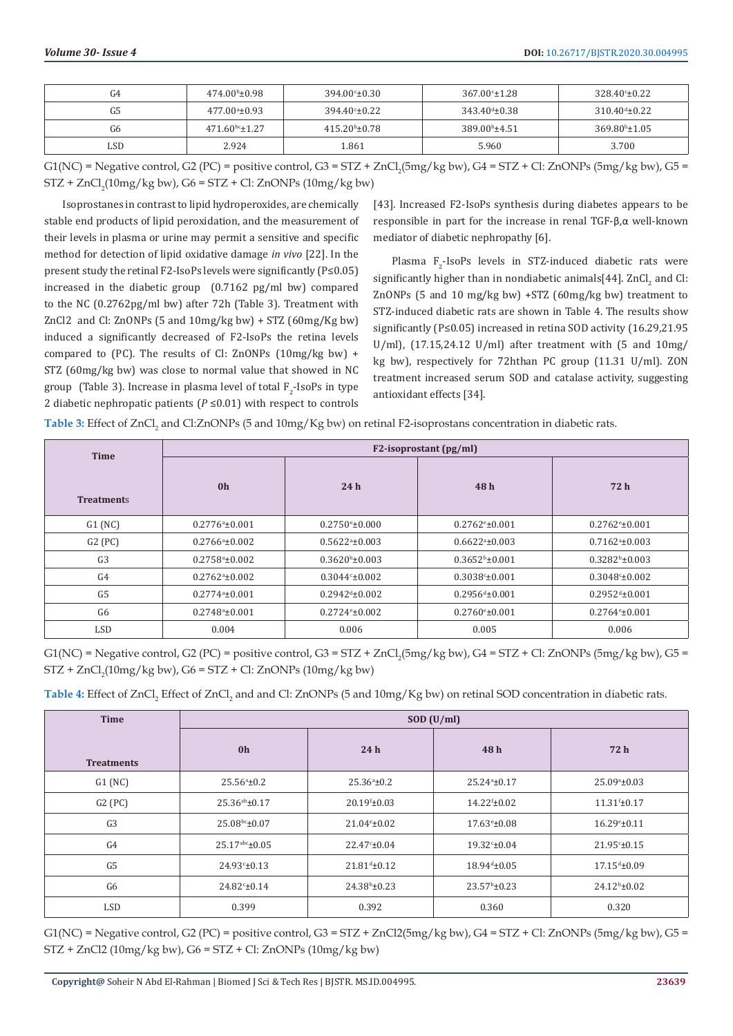| G4  | $474.00\text{h} \pm 0.98$ | $394.00^{\circ}$ ±0.30    | $367.00^{\circ}$ ±1.28 | $328.40^{\circ}$ ±0.22 |
|-----|---------------------------|---------------------------|------------------------|------------------------|
| G5  | $477.00a_{\pm}0.93$       | $394.40^{\circ} \pm 0.22$ | $343.40^{d} \pm 0.38$  | $310.40^{d} \pm 0.22$  |
| G6  | $471.60^{bc} \pm 1.27$    | $415.20^{\circ} \pm 0.78$ | $389.00b$ ±4.51        | $369.80^{\circ}$ ±1.05 |
| LSD | 2.924                     | .861                      | 5.960                  | 3.700                  |

 $G1(NC)$  = Negative control, G2 (PC) = positive control, G3 = STZ + ZnCl<sub>2</sub>(5mg/kg bw), G4 = STZ + Cl: ZnONPs (5mg/kg bw), G5 =  $STZ + ZnCl<sub>2</sub>(10mg/kg bw)$ , G6 =  $STZ + Cl$ : ZnONPs (10mg/kg bw)

Isoprostanes in contrast to lipid hydroperoxides, are chemically stable end products of lipid peroxidation, and the measurement of their levels in plasma or urine may permit a sensitive and specific method for detection of lipid oxidative damage *in vivo* [22]. In the present study the retinal F2-IsoPs levels were significantly (P≤0.05) increased in the diabetic group (0.7162 pg/ml bw) compared to the NC (0.2762pg/ml bw) after 72h (Table 3). Treatment with ZnCl2 and Cl: ZnONPs (5 and 10mg/kg bw) + STZ (60mg/Kg bw) induced a significantly decreased of F2-IsoPs the retina levels compared to (PC). The results of Cl: ZnONPs (10mg/kg bw) + STZ (60mg/kg bw) was close to normal value that showed in NC group (Table 3). Increase in plasma level of total  $F_2$ -IsoPs in type 2 diabetic nephropatic patients (*P* ≤0.01) with respect to controls

[43]. Increased F2-IsoPs synthesis during diabetes appears to be responsible in part for the increase in renal TGF-β,α well-known mediator of diabetic nephropathy [6].

Plasma  $F_2$ -IsoPs levels in STZ-induced diabetic rats were significantly higher than in nondiabetic animals $[44]$ . ZnCl<sub>2</sub> and Cl: ZnONPs (5 and 10 mg/kg bw) +STZ (60mg/kg bw) treatment to STZ-induced diabetic rats are shown in Table 4. The results show significantly (P≤0.05) increased in retina SOD activity (16.29,21.95 U/ml), (17.15,24.12 U/ml) after treatment with (5 and 10mg/ kg bw), respectively for 72hthan PC group (11.31 U/ml). ZON treatment increased serum SOD and catalase activity, suggesting antioxidant effects [34].

**Table 3:** Effect of ZnCl<sub>2</sub> and Cl:ZnONPs (5 and 10mg/Kg bw) on retinal F2-isoprostans concentration in diabetic rats.

| <b>Time</b>       | $F2$ -isoprostant (pg/ml) |                         |                               |                         |  |
|-------------------|---------------------------|-------------------------|-------------------------------|-------------------------|--|
| <b>Treatments</b> | 0 <sub>h</sub>            | 24h                     | 48h                           | 72h                     |  |
| G1(NC)            | $0.2776^{\circ}$ ±0.001   | $0.2750^{\circ}$ ±0.000 | $0.2762^{\circ}$ ±0.001       | $0.2762^{\circ}$ ±0.001 |  |
| $G2$ (PC)         | $0.2766^{\circ}$ ±0.002   | $0.5622a_{\pm}0.003$    | $0.6622a_{\pm}0.003$          | $0.7162a \pm 0.003$     |  |
| G <sub>3</sub>    | $0.2758a_{\pm}0.002$      | $0.3620^{\circ}$ ±0.003 | $0.3652^b \pm 0.001$          | $0.3282^b \pm 0.003$    |  |
| G <sub>4</sub>    | $0.2762a_{\pm}0.002$      | $0.3044c \pm 0.002$     | $0.3038c \pm 0.001$           | $0.3048c_{\pm}0.002$    |  |
| G <sub>5</sub>    | $0.2774^a \pm 0.001$      | $0.2942^{d}$ ±0.002     | $0.2956^{\text{d}} \pm 0.001$ | $0.2952^{d}$ ±0.001     |  |
| G <sub>6</sub>    | $0.2748^{\circ}$ ±0.001   | $0.2724e_{\pm}0.002$    | $0.2760^{\circ}$ ±0.001       | $0.2764^{\circ}$ ±0.001 |  |
| LSD               | 0.004                     | 0.006                   | 0.005                         | 0.006                   |  |

 $G1(NC)$  = Negative control, G2 (PC) = positive control, G3 = STZ + ZnCl<sub>2</sub>(5mg/kg bw), G4 = STZ + Cl: ZnONPs (5mg/kg bw), G5 = STZ + ZnCl<sub>2</sub>(10mg/kg bw), G6 = STZ + Cl: ZnONPs (10mg/kg bw)

**Table 4:** Effect of ZnCl<sub>2</sub> Effect of ZnCl<sub>2</sub> and and Cl: ZnONPs (5 and 10mg/Kg bw) on retinal SOD concentration in diabetic rats.

| <b>Time</b>       | SOD (U/ml)                |                          |                       |                       |
|-------------------|---------------------------|--------------------------|-----------------------|-----------------------|
| <b>Treatments</b> | 0 <sub>h</sub>            | 24h                      | 48h                   | 72 h                  |
| G1(NC)            | $25.56^{\circ}$ ±0.2      | $25.36^{\circ}$ ±0.2     | $25.24a + 0.17$       | $25.09^{\circ}$ ±0.03 |
| G2(PC)            | 25.36 <sup>ab</sup> ±0.17 | $20.19 \pm 0.03$         | $14.22^{f} \pm 0.02$  | $11.31^{f} \pm 0.17$  |
| G <sub>3</sub>    | $25.08^{bc} \pm 0.07$     | $21.04°+0.02$            | $17.63^{\circ}$ ±0.08 | $16.29^{\circ}$ ±0.11 |
| G <sub>4</sub>    | $25.17^{abc}$ ±0.05       | $22.47 \pm 0.04$         | $19.32 \pm 0.04$      | $21.95 - 0.15$        |
| G <sub>5</sub>    | $24.93 \pm 0.13$          | $21.81^{d}$ ±0.12        | $18.94^{d} \pm 0.05$  | $17.15^{d}$ ±0.09     |
| G6                | $24.82^{\circ}$ ±0.14     | $24.38^{\rm b} \pm 0.23$ | $23.57^{\rm b}$ ±0.23 | $24.12^b \pm 0.02$    |
| LSD               | 0.399                     | 0.392                    | 0.360                 | 0.320                 |

 $G1(NC)$  = Negative control,  $G2 (PC)$  = positive control,  $G3 = STZ + ZnCl2(5mg/kg bw)$ ,  $G4 = STZ + Cl$ : ZnONPs (5mg/kg bw),  $G5 =$  $STZ + ZnCl2 (10mg/kg bw)$ ,  $G6 = STZ + Cl$ :  $ZnONPs (10mg/kg bw)$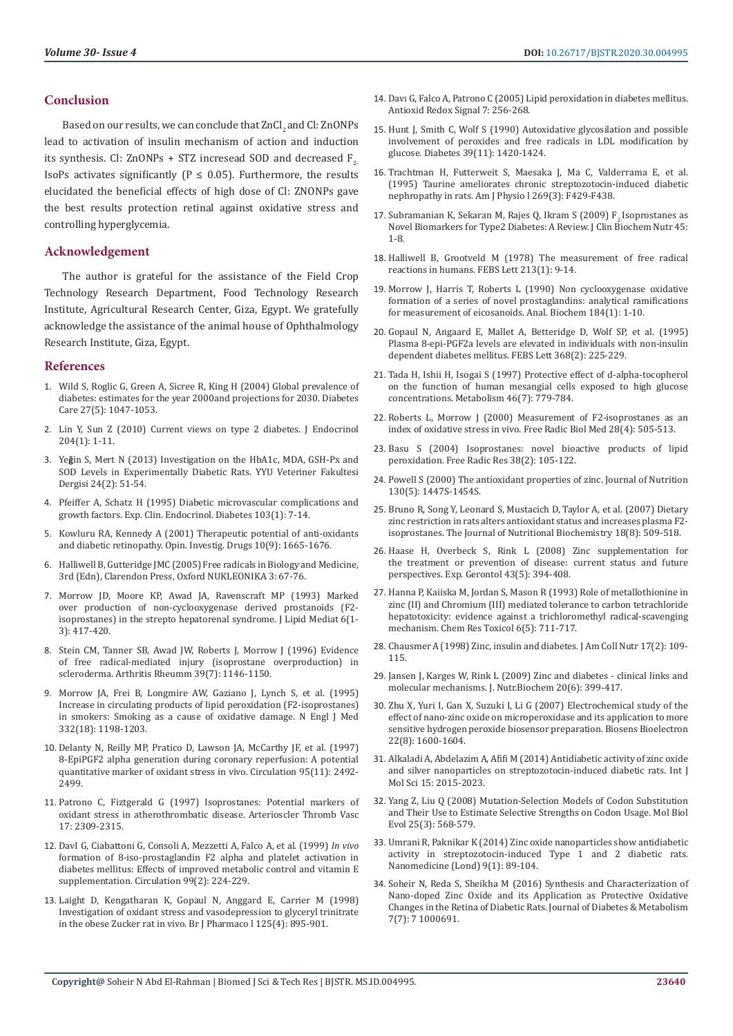## **Conclusion**

Based on our results, we can conclude that ZnCl<sub>2</sub> and Cl: ZnONPs lead to activation of insulin mechanism of action and induction its synthesis. Cl: ZnONPs + STZ incresead SOD and decreased  $F_a$ IsoPs activates significantly ( $P \le 0.05$ ). Furthermore, the results elucidated the beneficial effects of high dose of Cl: ZNONPs gave the best results protection retinal against oxidative stress and controlling hyperglycemia.

#### **Acknowledgement**

The author is grateful for the assistance of the Field Crop Technology Research Department, Food Technology Research Institute, Agricultural Research Center, Giza, Egypt. We gratefully acknowledge the assistance of the animal house of Ophthalmology Research Institute, Giza, Egypt.

#### **References**

- 1. [Wild S, Roglic G, Green A, Sicree R, King H \(2004\) Global prevalence of](https://pubmed.ncbi.nlm.nih.gov/15111519/)  [diabetes: estimates for the year 2000and projections for 2030. Diabetes](https://pubmed.ncbi.nlm.nih.gov/15111519/)  [Care 27\(5\): 1047-1053.](https://pubmed.ncbi.nlm.nih.gov/15111519/)
- 2. [Lin Y, Sun Z \(2010\) Current views on type 2 diabetes. J Endocrinol](https://www.ncbi.nlm.nih.gov/pmc/articles/PMC2814170/)  [204\(1\): 1-11.](https://www.ncbi.nlm.nih.gov/pmc/articles/PMC2814170/)
- 3. Ye**ğ**in S, Mert N (2013) Investigation on the HbA1c, MDA, GSH-Px and SOD Levels in Experimentally Diabetic Rats. YYU Veteriner Fakultesi Dergisi 24(2): 51-54.
- 4. [Pfeiffer A, Schatz H \(1995\) Diabetic microvascular complications and](https://pubmed.ncbi.nlm.nih.gov/7621107/)  [growth factors. Exp. Clin. Endocrinol. Diabetes 103\(1\): 7-14.](https://pubmed.ncbi.nlm.nih.gov/7621107/)
- 5. [Kowluru RA, Kennedy A \(2001\) Therapeutic potential of anti-oxidants](https://www.tandfonline.com/doi/abs/10.1517/13543784.10.9.1665)  [and diabetic retinopathy. Opin. Investig. Drugs 10\(9\): 1665-1676.](https://www.tandfonline.com/doi/abs/10.1517/13543784.10.9.1665)
- 6. Halliwell B, Gutteridge JMC (2005) Free radicals in Biology and Medicine, 3rd (Edn), Clarendon Press, Oxford NUKLEONIKA 3: 67-76.
- 7. [Morrow JD, Moore KP, Awad JA, Ravenscraft MP \(1993\) Marked](https://pubmed.ncbi.nlm.nih.gov/8358000/)  [over production of non-cyclooxygenase derived prostanoids \(F2](https://pubmed.ncbi.nlm.nih.gov/8358000/) [isoprostanes\) in the strepto hepatorenal syndrome. J Lipid Mediat 6\(1-](https://pubmed.ncbi.nlm.nih.gov/8358000/) [3\): 417-420.](https://pubmed.ncbi.nlm.nih.gov/8358000/)
- 8. [Stein CM, Tanner SB, Awad JW, Roberts J, Morrow J \(1996\) Evidence](https://onlinelibrary.wiley.com/doi/pdf/10.1002/art.1780390711)  [of free radical-mediated injury \(isoprostane overproduction\) in](https://onlinelibrary.wiley.com/doi/pdf/10.1002/art.1780390711)  [scleroderma. Arthritis Rheumm 39\(7\): 1146-1150.](https://onlinelibrary.wiley.com/doi/pdf/10.1002/art.1780390711)
- 9. [Morrow JA, Frei B, Longmire AW, Gaziano J, Lynch S, et al. \(1995\)](https://pubmed.ncbi.nlm.nih.gov/7700313/)  [Increase in circulating products of lipid peroxidation \(F2-isoprostanes\)](https://pubmed.ncbi.nlm.nih.gov/7700313/)  [in smokers: Smoking as a cause of oxidative damage. N Engl J Med](https://pubmed.ncbi.nlm.nih.gov/7700313/)  [332\(18\): 1198-1203.](https://pubmed.ncbi.nlm.nih.gov/7700313/)
- 10. [Delanty N, Reilly MP, Pratico D, Lawson JA, McCarthy JF, et al. \(1997\)](https://pubmed.ncbi.nlm.nih.gov/9184579/)  [8-EpiPGF2 alpha generation during coronary reperfusion: A potential](https://pubmed.ncbi.nlm.nih.gov/9184579/)  [quantitative marker of oxidant stress in vivo. Circulation 95\(11\): 2492-](https://pubmed.ncbi.nlm.nih.gov/9184579/) [2499.](https://pubmed.ncbi.nlm.nih.gov/9184579/)
- 11. Patrono C, Fiztgerald G (1997) Isoprostanes: Potential markers of oxidant stress in atherothrombatic disease. Arterioscler Thromb Vasc 17: 2309-2315.
- 12. [DavI G, Ciabattoni G, Consoli A, Mezzetti A, Falco A, et al. \(1999\)](https://pubmed.ncbi.nlm.nih.gov/9892587/) *In vivo* [formation of 8-iso-prostaglandin F2 alpha and platelet activation in](https://pubmed.ncbi.nlm.nih.gov/9892587/)  [diabetes mellitus: Effects of improved metabolic control and vitamin E](https://pubmed.ncbi.nlm.nih.gov/9892587/)  [supplementation. Circulation 99\(2\): 224-229.](https://pubmed.ncbi.nlm.nih.gov/9892587/)
- 13. [Laight D, Kengatharan K, Gopaul N, Anggard E, Carrier M \(1998\)](https://www.ncbi.nlm.nih.gov/pmc/articles/PMC1571037/)  [Investigation of oxidant stress and vasodepression to glyceryl trinitrate](https://www.ncbi.nlm.nih.gov/pmc/articles/PMC1571037/)  [in the obese Zucker rat in vivo. Br J Pharmaco l 125\(4\): 895-901.](https://www.ncbi.nlm.nih.gov/pmc/articles/PMC1571037/)
- 14. Davı G, Falco A, Patrono C (2005) Lipid peroxidation in diabetes mellitus. Antioxid Redox Signal 7: 256-268.
- 15. [Hunt J, Smith C, Wolf S \(1990\) Autoxidative glycosilation and possible](https://diabetes.diabetesjournals.org/content/39/11/1420) [involvement of peroxides and free radicals in LDL modification by](https://diabetes.diabetesjournals.org/content/39/11/1420) [glucose. Diabetes 39\(11\): 1420-1424.](https://diabetes.diabetesjournals.org/content/39/11/1420)
- 16. [Trachtman H, Futterweit S, Maesaka J, Ma C, Valderrama E, et al.](https://journals.physiology.org/doi/abs/10.1152/ajprenal.1995.269.3.F429?journalCode=ajprenal) [\(1995\) Taurine ameliorates chronic streptozotocin-induced diabetic](https://journals.physiology.org/doi/abs/10.1152/ajprenal.1995.269.3.F429?journalCode=ajprenal) [nephropathy in rats. Am J Physio l 269\(3\): F429-F438.](https://journals.physiology.org/doi/abs/10.1152/ajprenal.1995.269.3.F429?journalCode=ajprenal)
- 17. Subramanian K, Sekaran M, Rajes Q, Ikram S (2009) F<sub>2</sub> Isoprostanes as Novel Biomarkers for Type2 Diabetes: A Review. J Clin Biochem Nutr 45: 1-8.
- 18. [Halliwell B, Grootveld M \(1978\) The measurement of free radical](https://pubmed.ncbi.nlm.nih.gov/3030811/) [reactions in humans. FEBS Lett 213\(1\): 9-14.](https://pubmed.ncbi.nlm.nih.gov/3030811/)
- 19. [Morrow J, Harris T, Roberts L \(1990\) Non cyclooxygenase oxidative](https://pubmed.ncbi.nlm.nih.gov/2321745/) [formation of a series of novel prostaglandins: analytical ramifications](https://pubmed.ncbi.nlm.nih.gov/2321745/) [for measurement of eicosanoids. Anal. Biochem 184\(1\): 1-10.](https://pubmed.ncbi.nlm.nih.gov/2321745/)
- 20. [Gopaul N, Angaard E, Mallet A, Betteridge D, Wolf SP, et al. \(1995\)](https://pubmed.ncbi.nlm.nih.gov/7628610/) [Plasma 8-epi-PGF2a levels are elevated in individuals with non-insulin](https://pubmed.ncbi.nlm.nih.gov/7628610/) [dependent diabetes mellitus. FEBS Lett 368\(2\): 225-229.](https://pubmed.ncbi.nlm.nih.gov/7628610/)
- 21. [Tada H, Ishii H, Isogai S \(1997\) Protective effect of d-alpha-tocopherol](https://www.sciencedirect.com/science/article/abs/pii/S0026049597901220) [on the function of human mesangial cells exposed to high glucose](https://www.sciencedirect.com/science/article/abs/pii/S0026049597901220) [concentrations. Metabolism 46\(7\): 779-784.](https://www.sciencedirect.com/science/article/abs/pii/S0026049597901220)
- 22. [Roberts L, Morrow J \(2000\) Measurement of F2-isoprostanes as an](https://www.researchgate.net/publication/290131398_Measurement_of_F2-isoprostanes_as_an_index_of_oxidative_stress_in_vivo) [index of oxidative stress in vivo. Free Radic Biol Med 28\(4\): 505-513.](https://www.researchgate.net/publication/290131398_Measurement_of_F2-isoprostanes_as_an_index_of_oxidative_stress_in_vivo)
- 23. [Basu S \(2004\) Isoprostanes: novel bioactive products of lipid](https://www.researchgate.net/publication/8601113_Isoprostanes_novel_bioactive_products_of_lipid_peroxidation) [peroxidation. Free Radic Res 38\(2\): 105-122.](https://www.researchgate.net/publication/8601113_Isoprostanes_novel_bioactive_products_of_lipid_peroxidation)
- 24. Powell S (2000) The antioxidant properties of zinc. Journal of Nutrition 130(5): 1447S-1454S.
- 25. [Bruno R, Song Y, Leonard S, Mustacich D, Taylor A, et al. \(2007\) Dietary](https://www.sciencedirect.com/science/article/abs/pii/S0955286306002269) [zinc restriction in rats alters antioxidant status and increases plasma F2](https://www.sciencedirect.com/science/article/abs/pii/S0955286306002269) [isoprostanes. The Journal of Nutritional Biochemistry 18\(8\): 509-518.](https://www.sciencedirect.com/science/article/abs/pii/S0955286306002269)
- 26. [Haase H, Overbeck S, Rink L \(2008\) Zinc supplementation for](https://pubmed.ncbi.nlm.nih.gov/18221847/) [the treatment or prevention of disease: current status and future](https://pubmed.ncbi.nlm.nih.gov/18221847/) [perspectives. Exp. Gerontol 43\(5\): 394-408.](https://pubmed.ncbi.nlm.nih.gov/18221847/)
- 27. [Hanna P, Kaiiska M, Jordan S, Mason R \(1993\) Role of metallothionine in](https://pubs.acs.org/doi/abs/10.1021/tx00035a017) [zinc \(II\) and Chromium \(III\) mediated tolerance to carbon tetrachloride](https://pubs.acs.org/doi/abs/10.1021/tx00035a017) [hepatotoxicity: evidence against a trichloromethyl radical-scavenging](https://pubs.acs.org/doi/abs/10.1021/tx00035a017) [mechanism. Chem Res Toxicol 6\(5\): 711-717.](https://pubs.acs.org/doi/abs/10.1021/tx00035a017)
- 28. Chausmer A (1998) Zinc, insulin and diabetes. J Am Coll Nutr 17(2): 109- 115.
- 29. [Jansen J, Karges W, Rink L \(2009\) Zinc and diabetes clinical links and](https://pubmed.ncbi.nlm.nih.gov/19442898/) [molecular mechanisms. J. Nutr.Biochem 20\(6\): 399-417.](https://pubmed.ncbi.nlm.nih.gov/19442898/)
- 30. [Zhu X, Yuri I, Gan X, Suzuki I, Li G \(2007\) Electrochemical study of the](https://www.sciencedirect.com/science/article/abs/pii/S0956566306003228/) [effect of nano-zinc oxide on microperoxidase and its application to more](https://www.sciencedirect.com/science/article/abs/pii/S0956566306003228/) [sensitive hydrogen peroxide biosensor preparation. Biosens Bioelectron](https://www.sciencedirect.com/science/article/abs/pii/S0956566306003228/) [22\(8\): 1600-1604.](https://www.sciencedirect.com/science/article/abs/pii/S0956566306003228/)
- 31. [Alkaladi A, Abdelazim A, Afifi M \(2014\) Antidiabetic activity of zinc oxide](https://www.researchgate.net/publication/259985236_Antidiabetic_Activity_of_Zinc_Oxide_and_Silver_Nanoparticles_on_Streptozotocin-Induced_Diabetic_Rats) [and silver nanoparticles on streptozotocin-induced diabetic rats. Int J](https://www.researchgate.net/publication/259985236_Antidiabetic_Activity_of_Zinc_Oxide_and_Silver_Nanoparticles_on_Streptozotocin-Induced_Diabetic_Rats) [Mol Sci 15: 2015-2023.](https://www.researchgate.net/publication/259985236_Antidiabetic_Activity_of_Zinc_Oxide_and_Silver_Nanoparticles_on_Streptozotocin-Induced_Diabetic_Rats)
- 32. [Yang Z, Liu Q \(2008\) Mutation-Selection Models of Codon Substitution](https://pubmed.ncbi.nlm.nih.gov/18178545/) [and Their Use to Estimate Selective Strengths on Codon Usage. Mol Biol](https://pubmed.ncbi.nlm.nih.gov/18178545/) [Evol 25\(3\): 568-579.](https://pubmed.ncbi.nlm.nih.gov/18178545/)
- 33. [Umrani R, Paknikar K \(2014\) Zinc oxide nanoparticles show antidiabetic](https://pubmed.ncbi.nlm.nih.gov/23427863/) [activity in streptozotocin-induced Type 1 and 2 diabetic rats.](https://pubmed.ncbi.nlm.nih.gov/23427863/) [Nanomedicine \(Lond\) 9\(1\): 89-104.](https://pubmed.ncbi.nlm.nih.gov/23427863/)
- 34. [Soheir N, Reda S, Sheikha M \(2016\) Synthesis and Characterization of](https://www.longdom.org/abstract/synthesis-and-characterization-of-nanodoped-zinc-oxide-and-its-application-as-protective-oxidative-changes-in-the-retina-30400.html) [Nano-doped Zinc Oxide and its Application as Protective Oxidative](https://www.longdom.org/abstract/synthesis-and-characterization-of-nanodoped-zinc-oxide-and-its-application-as-protective-oxidative-changes-in-the-retina-30400.html) [Changes in the Retina of Diabetic Rats. Journal of Diabetes & Metabolism](https://www.longdom.org/abstract/synthesis-and-characterization-of-nanodoped-zinc-oxide-and-its-application-as-protective-oxidative-changes-in-the-retina-30400.html) [7\(7\): 7 1000691.](https://www.longdom.org/abstract/synthesis-and-characterization-of-nanodoped-zinc-oxide-and-its-application-as-protective-oxidative-changes-in-the-retina-30400.html)